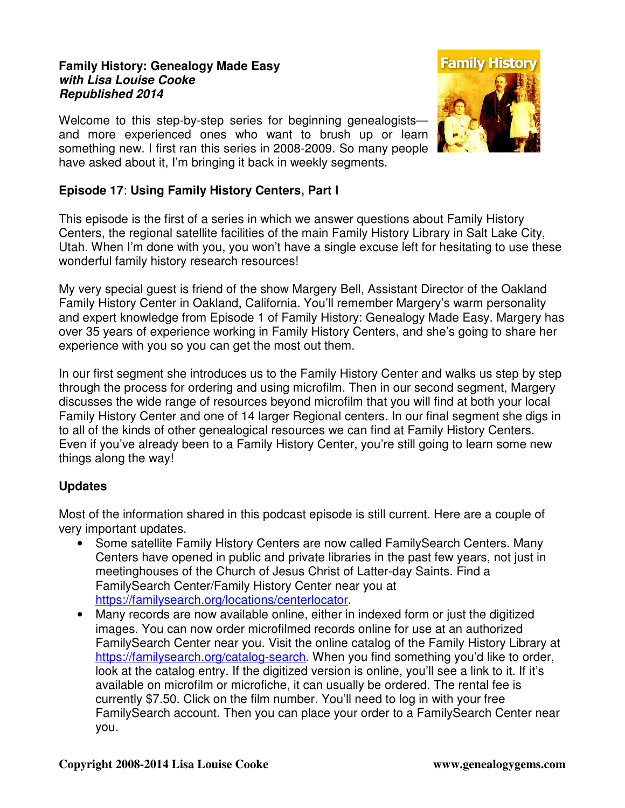## **Family History: Genealogy Made Easy with Lisa Louise Cooke Republished 2014**

Welcome to this step-by-step series for beginning genealogists and more experienced ones who want to brush up or learn something new. I first ran this series in 2008-2009. So many people have asked about it, I'm bringing it back in weekly segments.



## **Episode 17**: **Using Family History Centers, Part I**

This episode is the first of a series in which we answer questions about Family History Centers, the regional satellite facilities of the main Family History Library in Salt Lake City, Utah. When I'm done with you, you won't have a single excuse left for hesitating to use these wonderful family history research resources!

My very special guest is friend of the show Margery Bell, Assistant Director of the Oakland Family History Center in Oakland, California. You'll remember Margery's warm personality and expert knowledge from Episode 1 of Family History: Genealogy Made Easy. Margery has over 35 years of experience working in Family History Centers, and she's going to share her experience with you so you can get the most out them.

In our first segment she introduces us to the Family History Center and walks us step by step through the process for ordering and using microfilm. Then in our second segment, Margery discusses the wide range of resources beyond microfilm that you will find at both your local Family History Center and one of 14 larger Regional centers. In our final segment she digs in to all of the kinds of other genealogical resources we can find at Family History Centers. Even if you've already been to a Family History Center, you're still going to learn some new things along the way!

## **Updates**

Most of the information shared in this podcast episode is still current. Here are a couple of very important updates.

- Some satellite Family History Centers are now called FamilySearch Centers. Many Centers have opened in public and private libraries in the past few years, not just in meetinghouses of the Church of Jesus Christ of Latter-day Saints. Find a FamilySearch Center/Family History Center near you at https://familysearch.org/locations/centerlocator.
- Many records are now available online, either in indexed form or just the digitized images. You can now order microfilmed records online for use at an authorized FamilySearch Center near you. Visit the online catalog of the Family History Library at https://familysearch.org/catalog-search. When you find something you'd like to order, look at the catalog entry. If the digitized version is online, you'll see a link to it. If it's available on microfilm or microfiche, it can usually be ordered. The rental fee is currently \$7.50. Click on the film number. You'll need to log in with your free FamilySearch account. Then you can place your order to a FamilySearch Center near you.